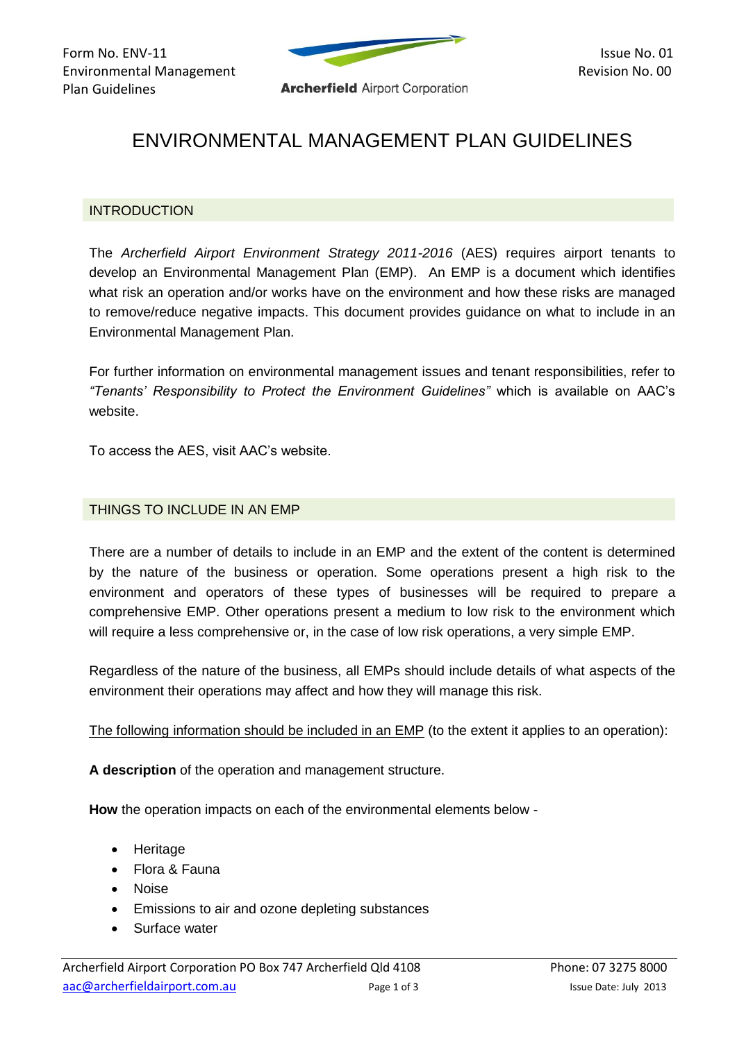

# ENVIRONMENTAL MANAGEMENT PLAN GUIDELINES

## **INTRODUCTION**

The *Archerfield Airport Environment Strategy 2011-2016* (AES) requires airport tenants to develop an Environmental Management Plan (EMP). An EMP is a document which identifies what risk an operation and/or works have on the environment and how these risks are managed to remove/reduce negative impacts. This document provides guidance on what to include in an Environmental Management Plan.

For further information on environmental management issues and tenant responsibilities, refer to *"Tenants' Responsibility to Protect the Environment Guidelines"* which is available on AAC's website.

To access the AES, visit AAC's website.

### THINGS TO INCLUDE IN AN EMP

There are a number of details to include in an EMP and the extent of the content is determined by the nature of the business or operation. Some operations present a high risk to the environment and operators of these types of businesses will be required to prepare a comprehensive EMP. Other operations present a medium to low risk to the environment which will require a less comprehensive or, in the case of low risk operations, a very simple EMP.

Regardless of the nature of the business, all EMPs should include details of what aspects of the environment their operations may affect and how they will manage this risk.

The following information should be included in an EMP (to the extent it applies to an operation):

**A description** of the operation and management structure.

**How** the operation impacts on each of the environmental elements below -

- Heritage
- Flora & Fauna
- Noise
- **Emissions to air and ozone depleting substances**
- Surface water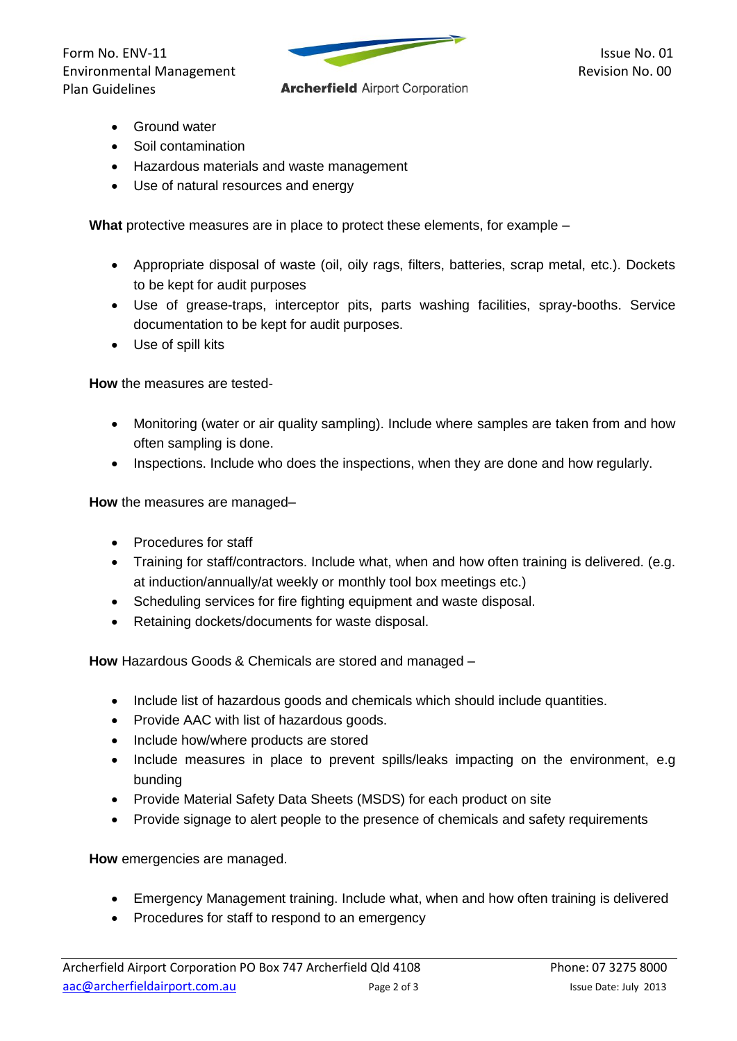Environmental Management<br> **Archerfield** Airport Corporation<br>
Plan Guidelines Plan Guidelines



- Ground water
- Soil contamination
- Hazardous materials and waste management
- Use of natural resources and energy

**What** protective measures are in place to protect these elements, for example –

- Appropriate disposal of waste (oil, oily rags, filters, batteries, scrap metal, etc.). Dockets to be kept for audit purposes
- Use of grease-traps, interceptor pits, parts washing facilities, spray-booths. Service documentation to be kept for audit purposes.
- Use of spill kits

**How** the measures are tested-

- Monitoring (water or air quality sampling). Include where samples are taken from and how often sampling is done.
- Inspections. Include who does the inspections, when they are done and how regularly.

**How** the measures are managed–

- Procedures for staff
- Training for staff/contractors. Include what, when and how often training is delivered, (e.g. at induction/annually/at weekly or monthly tool box meetings etc.)
- Scheduling services for fire fighting equipment and waste disposal.
- Retaining dockets/documents for waste disposal.

**How** Hazardous Goods & Chemicals are stored and managed –

- Include list of hazardous goods and chemicals which should include quantities.
- Provide AAC with list of hazardous goods.
- Include how/where products are stored
- Include measures in place to prevent spills/leaks impacting on the environment, e.g bunding
- Provide Material Safety Data Sheets (MSDS) for each product on site
- Provide signage to alert people to the presence of chemicals and safety requirements

**How** emergencies are managed.

- Emergency Management training. Include what, when and how often training is delivered
- Procedures for staff to respond to an emergency